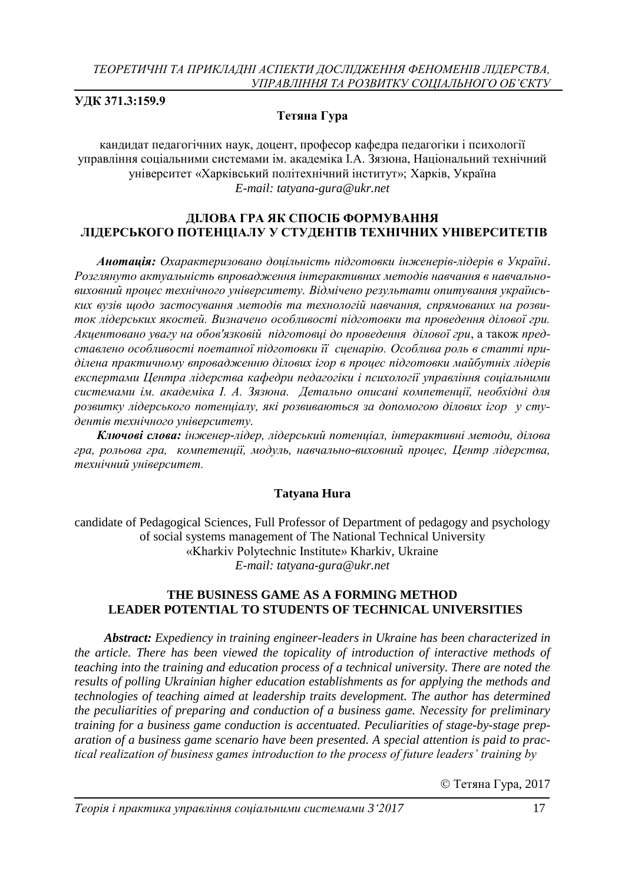### **УДК 371.3:159.9**

# **Тетяна Гура**

кандидат педагогічних наук, доцент, професор кафедра педагогіки і психології управління соціальними системами ім. академіка І.А. Зязюна, Національний технічний університет «Харківський політехнічний інститут»; Харків, Україна *E-mail: tatyana-gura@ukr.net*

# **ДІЛОВА ГРА ЯК СПОСІБ ФОРМУВАННЯ ЛІДЕРСЬКОГО ПОТЕНЦІАЛУ У СТУДЕНТІВ ТЕХНІЧНИХ УНІВЕРСИТЕТІВ**

*Анотація: Охарактеризовано доцільність підготовки інженерів-лідерів в Україні*. *Розглянуто актуальність впровадження інтерактивних методів навчання в навчальновиховний процес технічного університету. Відмічено результати опитування українських вузів щодо застосування методів та технологій навчання, спрямованих на розвиток лідерських якостей. Визначено особливості підготовки та проведення ділової гри. Акцентовано увагу на обов'язковій підготовці до проведення ділової гри*, а також *представлено особливості поетапної підготовки її сценарію. Особлива роль в статті приділена практичному впровадженню ділових ігор в процес підготовки майбутніх лідерів експертами Центра лідерства кафедри педагогіки і психології управління соціальними системами ім. академіка І. А. Зязюна. Детально описані компетенції, необхідні для розвитку лідерського потенціалу, які розвиваються за допомогою ділових ігор у студентів технічного університету.*

*Ключові слова: інженер-лідер, лідерський потенціал, інтерактивні методи, ділова гра, рольова гра, компетенції, модуль, навчально-виховний процес, Центр лідерства, технічний університет.*

### **Tatyana Hura**

candidate of Pedagogical Sciences, Full Professor of Department of pedagogy and psychology of social systems management of The National Technical University «Kharkiv Polytechnic Institute» Kharkiv, Ukraine *E-mail: tatyana-gura@ukr.net*

## **THE BUSINESS GAME AS A FORMING METHOD LEADER POTENTIAL TO STUDENTS OF TECHNICAL UNIVERSITIES**

*Abstract: Expediency in training engineer-leaders in Ukraine has been characterized in the article. There has been viewed the topicality of introduction of interactive methods of teaching into the training and education process of a technical university. There are noted the results of polling Ukrainian higher education establishments as for applying the methods and technologies of teaching aimed at leadership traits development. The author has determined the peculiarities of preparing and conduction of a business game. Necessity for preliminary training for a business game conduction is accentuated. Peculiarities of stage-by-stage preparation of a business game scenario have been presented. A special attention is paid to practical realization of business games introduction to the process of future leaders' training by* 

Тетяна Гура, 2017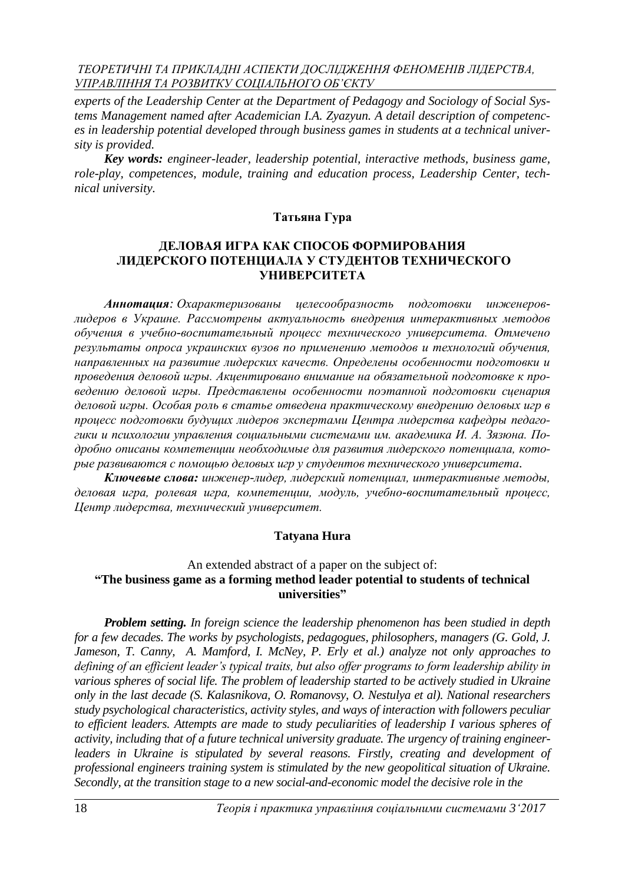*experts of the Leadership Center at the Department of Pedagogy and Sociology of Social Systems Management named after Academician I.A. Zyazyun. A detail description of competences in leadership potential developed through business games in students at a technical university is provided.*

*Key words: engineer-leader, leadership potential, interactive methods, business game, role-play, competences, module, training and education process, Leadership Center, technical university.*

### **Татьяна Гура**

### **ДЕЛОВАЯ ИГРА КАК СПОСОБ ФОРМИРОВАНИЯ ЛИДЕРСКОГО ПОТЕНЦИАЛА У СТУДЕНТОВ ТЕХНИЧЕСКОГО УНИВЕРСИТЕТА**

*Аннотация: Охарактеризованы целесообразность подготовки инженеровлидеров в Украине. Рассмотрены актуальность внедрения интерактивных методов обучения в учебно-воспитательный процесс технического университета. Отмечено результаты опроса украинских вузов по применению методов и технологий обучения, направленных на развитие лидерских качеств. Определены особенности подготовки и проведения деловой игры. Акцентировано внимание на обязательной подготовке к проведению деловой игры. Представлены особенности поэтапной подготовки сценария деловой игры. Особая роль в статье отведена практическому внедрению деловых игр в процесс подготовки будущих лидеров экспертами Центра лидерства кафедры педагогики и психологии управления социальными системами им. академика И. А. Зязюна. Подробно описаны компетенции необходимые для развития лидерского потенциала, которые развиваются с помощью деловых игр у студентов технического университета*.

*Ключевые слова: инженер-лидер, лидерский потенциал, интерактивные методы, деловая игра, ролевая игра, компетенции, модуль, учебно-воспитательный процесс, Центр лидерства, технический университет.*

#### **Tatyana Hura**

### An extended abstract of a paper on the subject of: **"The business game as a forming method leader potential to students of technical universities"**

*Problem setting. In foreign science the leadership phenomenon has been studied in depth for a few decades. The works by psychologists, pedagogues, philosophers, managers (G. Gold, J. Jameson, T. Canny, A. Mamford, I. McNey, P. Erly et al.) analyze not only approaches to defining of an efficient leader's typical traits, but also offer programs to form leadership ability in various spheres of social life. The problem of leadership started to be actively studied in Ukraine only in the last decade (S. Kalasnikova, O. Romanovsy, O. Nestulya et al). National researchers study psychological characteristics, activity styles, and ways of interaction with followers peculiar to efficient leaders. Attempts are made to study peculiarities of leadership I various spheres of activity, including that of a future technical university graduate. The urgency of training engineerleaders in Ukraine is stipulated by several reasons. Firstly, creating and development of professional engineers training system is stimulated by the new geopolitical situation of Ukraine. Secondly, at the transition stage to a new social-and-economic model the decisive role in the*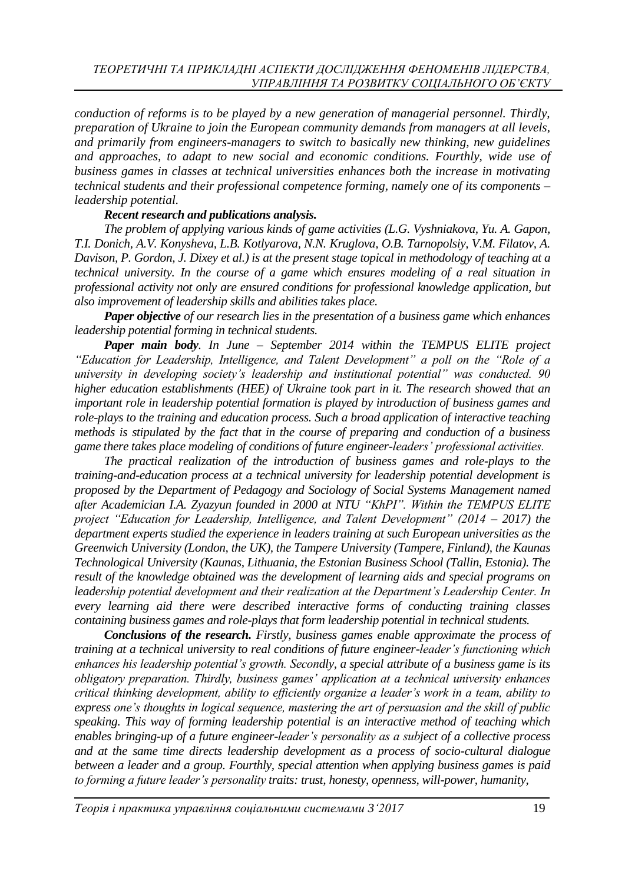*conduction of reforms is to be played by a new generation of managerial personnel. Thirdly, preparation of Ukraine to join the European community demands from managers at all levels, and primarily from engineers-managers to switch to basically new thinking, new guidelines and approaches, to adapt to new social and economic conditions. Fourthly, wide use of business games in classes at technical universities enhances both the increase in motivating technical students and their professional competence forming, namely one of its components – leadership potential.*

# *Recent research and publications analysis.*

*The problem of applying various kinds of game activities (L.G. Vyshniakova, Yu. A. Gapon, T.I. Donich, A.V. Konysheva, L.B. Kotlyarova, N.N. Kruglova, O.B. Tarnopolsiy, V.M. Filatov, A. Davison, P. Gordon, J. Dixey et al.) is at the present stage topical in methodology of teaching at a technical university. In the course of a game which ensures modeling of a real situation in professional activity not only are ensured conditions for professional knowledge application, but also improvement of leadership skills and abilities takes place.*

*Paper objective of our research lies in the presentation of a business game which enhances leadership potential forming in technical students.*

*Paper main body. In June – September 2014 within the TEMPUS ELITE project "Education for Leadership, Intelligence, and Talent Development" a poll on the "Role of a university in developing society's leadership and institutional potential" was conducted. 90 higher education establishments (HEE) of Ukraine took part in it. The research showed that an important role in leadership potential formation is played by introduction of business games and role-plays to the training and education process. Such a broad application of interactive teaching methods is stipulated by the fact that in the course of preparing and conduction of a business game there takes place modeling of conditions of future engineer-leaders' professional activities.*

*The practical realization of the introduction of business games and role-plays to the training-and-education process at a technical university for leadership potential development is proposed by the Department of Pedagogy and Sociology of Social Systems Management named after Academician I.A. Zyazyun founded in 2000 at NTU "KhPI". Within the TEMPUS ELITE project "Education for Leadership, Intelligence, and Talent Development" (2014 – 2017) the department experts studied the experience in leaders training at such European universities as the Greenwich University (London, the UK), the Tampere University (Tampere, Finland), the Kaunas Technological University (Kaunas, Lithuania, the Estonian Business School (Tallin, Estonia). The result of the knowledge obtained was the development of learning aids and special programs on leadership potential development and their realization at the Department's Leadership Center. In every learning aid there were described interactive forms of conducting training classes containing business games and role-plays that form leadership potential in technical students.*

*Conclusions of the research. Firstly, business games enable approximate the process of training at a technical university to real conditions of future engineer-leader's functioning which enhances his leadership potential's growth. Secondly, a special attribute of a business game is its obligatory preparation. Thirdly, business games' application at a technical university enhances critical thinking development, ability to efficiently organize a leader's work in a team, ability to express one's thoughts in logical sequence, mastering the art of persuasion and the skill of public speaking. This way of forming leadership potential is an interactive method of teaching which enables bringing-up of a future engineer-leader's personality as a subject of a collective process and at the same time directs leadership development as a process of socio-cultural dialogue between a leader and a group. Fourthly, special attention when applying business games is paid to forming a future leader's personality traits: trust, honesty, openness, will-power, humanity,*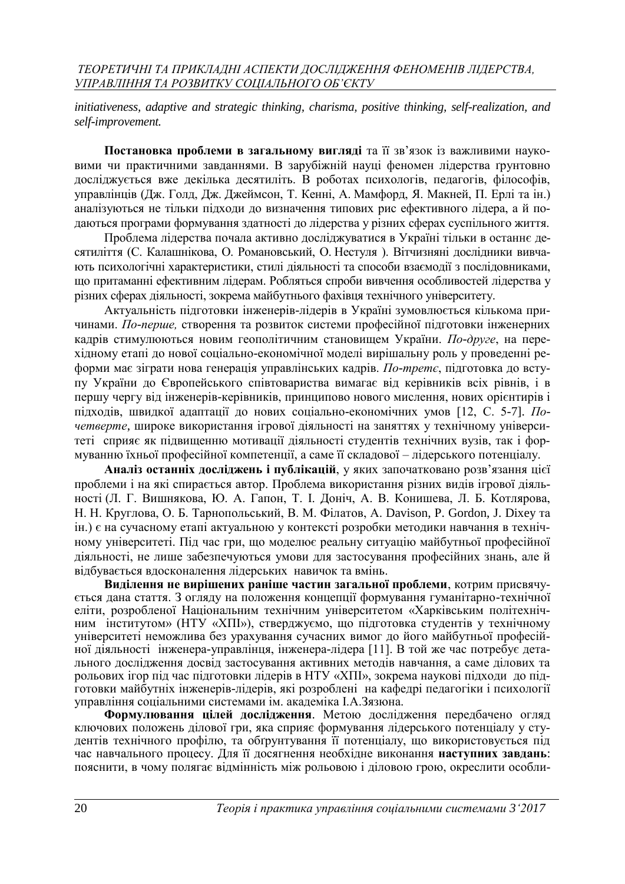*initiativeness, adaptive and strategic thinking, charisma, positive thinking, self-realization, and self-improvement.*

**Постановка проблеми в загальному вигляді** та її зв'язок із важливими науковими чи практичними завданнями. В зарубіжній науці феномен лідерства ґрунтовно досліджується вже декілька десятиліть. В роботах психологів, педагогів, філософів, управлінців (Дж. Голд, Дж. Джеймсон, Т. Кенні, А. Мамфорд, Я. Макней, П. Ерлі та ін.) аналізуються не тільки підходи до визначення типових рис ефективного лідера, а й подаються програми формування здатності до лідерства у різних сферах суспільного життя.

Проблема лідерства почала активно досліджуватися в Україні тільки в останнє десятиліття (С. Калашнікова, О. Романовський, О. Нестуля ). Вітчизняні дослідники вивчають психологічні характеристики, стилі діяльності та способи взаємодії з послідовниками, що притаманні ефективним лідерам. Робляться спроби вивчення особливостей лідерства у різних сферах діяльності, зокрема майбутнього фахівця технічного університету.

Актуальність підготовки інженерів-лідерів в Україні зумовлюється кількома причинами. *По-перше,* створення та розвиток системи професійної підготовки інженерних кадрів стимулюються новим геополітичним становищем України. *По-друге*, на перехідному етапі до нової соціально-економічної моделі вирішальну роль у проведенні реформи має зіграти нова генерація управлінських кадрів. *По-третє*, підготовка до вступу України до Європейського співтовариства вимагає від керівників всіх рівнів, і в першу чергу від інженерів-керівників, принципово нового мислення, нових орієнтирів і підходів, швидкої адаптації до нових соціально-економічних умов [12, С. 5-7]. *Почетверте*, широке використання ігрової діяльності на заняттях у технічному університеті сприяє як підвищенню мотивації діяльності студентів технічних вузів, так і формуванню їхньої професійної компетенції, а саме її складової – лідерського потенціалу.

**Аналіз останніх досліджень і публікацій**, у яких започатковано розв'язання цієї проблеми і на які спирається автор. Проблема використання різних видів ігрової діяльності (Л. Г. Вишнякова, Ю. А. Гапон, Т. І. Доніч, А. В. Конишева, Л. Б. Котлярова, Н. Н. Круглова, О. Б. Тарнопольський, В. М. Філатов, А. Davison, P. Gordon, J. Dixey та ін.) є на сучасному етапі актуальною у контексті розробки методики навчання в технічному університеті. Під час гри, що моделює реальну ситуацію майбутньої професійної діяльності, не лише забезпечуються умови для застосування професійних знань, але й відбувається вдосконалення лідерських навичок та вмінь.

**Виділення не вирішених раніше частин загальної проблеми**, котрим присвячується дана стаття. З огляду на положення концепції формування гуманітарно-технічної еліти, розробленої Національним технічним університетом «Харківським політехнічним інститутом» (НТУ «ХПІ»), стверджуємо, що підготовка студентів у технічному університеті неможлива без урахування сучасних вимог до його майбутньої професійної діяльності інженера-управлінця, інженера-лідера [11]. В той же час потребує детального дослідження досвід застосування активних методів навчання, а саме ділових та рольових ігор під час підготовки лідерів в НТУ «ХПІ», зокрема наукові підходи до підготовки майбутніх інженерів-лідерів, які розроблені на кафедрі педагогіки і психології управління соціальними системами ім. академіка І.А.Зязюна.

**Формулювання цілей дослідження**. Метою дослідження передбачено огляд ключових положень ділової гри, яка сприяє формування лідерського потенціалу у студентів технічного профілю, та обґрунтування її потенціалу, що використовується під час навчального процесу. Для її досягнення необхідне виконання **наступних завдань**: пояснити, в чому полягає відмінність між рольовою і діловою грою, окреслити особли-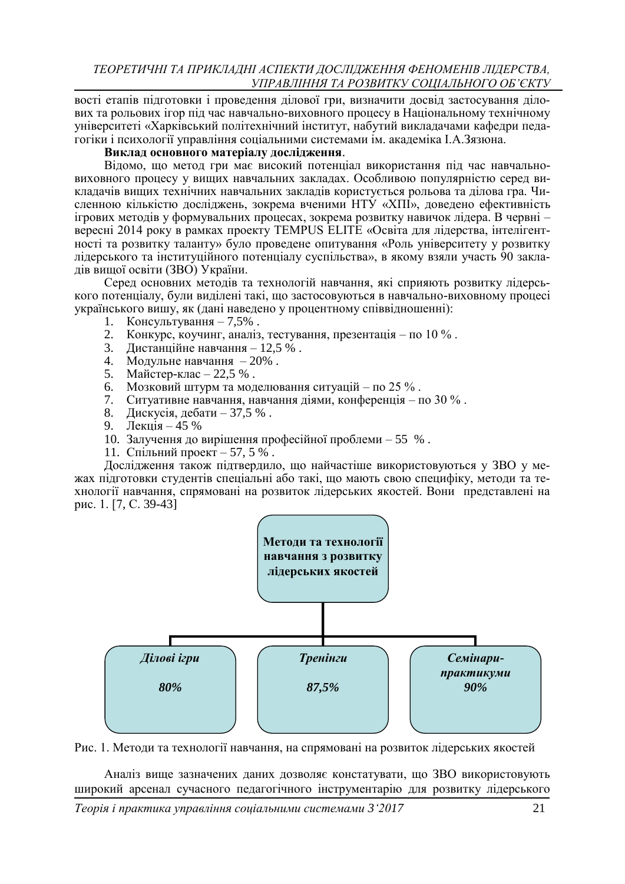вості етапів підготовки і проведення ділової гри, визначити досвід застосування ділових та рольових ігор під час навчально-виховного процесу в Національному технічному університеті «Харківський політехнічний інститут, набутий викладачами кафедри педагогіки і психології управління соціальними системами ім. академіка І.А.Зязюна.

### **Виклад основного матеріалу дослідження**.

Відомо, що метод гри має високий потенціал використання під час навчальновиховного процесу у вищих навчальних закладах. Особливою популярністю серед викладачів вищих технічних навчальних закладів користується рольова та ділова гра. Численною кількістю досліджень, зокрема вченими НТУ «ХПІ», доведено ефективність ігрових методів у формувальних процесах, зокрема розвитку навичок лідера. В червні – вересні 2014 року в рамках проекту TEMPUS ELITE «Освіта для лідерства, інтелігентності та розвитку таланту» було проведене опитування «Роль університету у розвитку лідерського та інституційного потенціалу суспільства», в якому взяли участь 90 закладів вищої освіти (ЗВО) України.

Серед основних методів та технологій навчання, які сприяють розвитку лідерського потенціалу, були виділені такі, що застосовуються в навчально-виховному процесі українського вишу, як (дані наведено у процентному співвідношенні):

- 1. Консультування 7,5% .
- 2. Конкурс, коучинг, аналіз, тестування, презентація по 10 % .
- 3. Дистанційне навчання 12,5 % .
- 4. Модульне навчання 20% .
- 5. Майстер-клас 22,5 % .
- 6. Мозковий штурм та моделювання ситуацій по 25 % .
- 7. Ситуативне навчання, навчання діями, конференція по 30 % .
- 8. Дискусія, дебати 37,5 % .
- 9. Лекція 45 %
- 10. Залучення до вирішення професійної проблеми 55 % .
- 11. Спільний проект 57, 5 % .

Дослідження також підтвердило, що найчастіше використовуються у ЗВО у межах підготовки студентів спеціальні або такі, що мають свою специфіку, методи та технології навчання, спрямовані на розвиток лідерських якостей. Вони представлені на рис. 1. [7, С. 39-43]





Аналіз вище зазначених даних дозволяє констатувати, що ЗВО використовують широкий арсенал сучасного педагогічного інструментарію для розвитку лідерського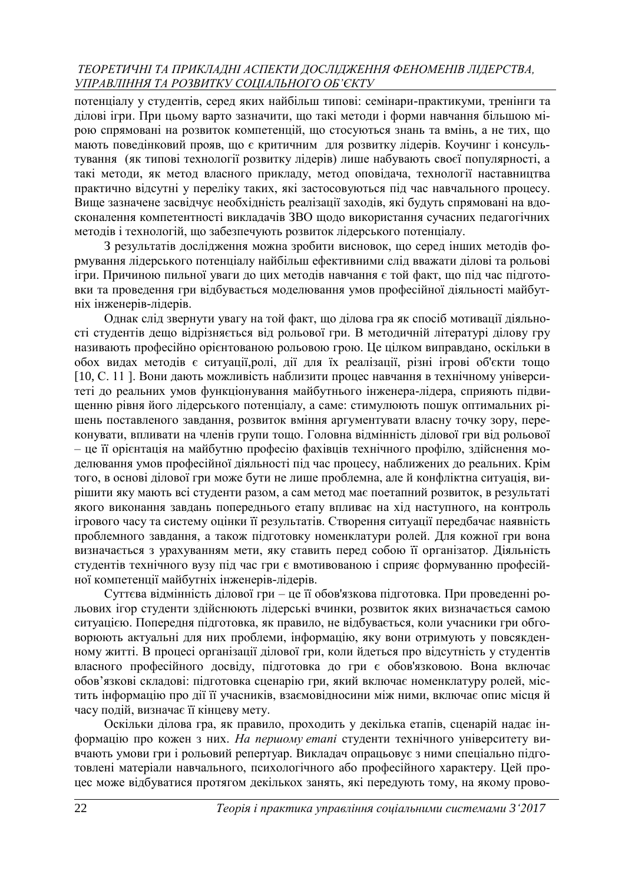потенціалу у студентів, серед яких найбільш типові: семінари-практикуми, тренінги та ділові ігри. При цьому варто зазначити, що такі методи і форми навчання більшою мірою спрямовані на розвиток компетенцій, що стосуються знань та вмінь, а не тих, що мають поведінковий прояв, що є критичним для розвитку лідерів. Коучинг і консультування (як типові технології розвитку лідерів) лише набувають своєї популярності, а такі методи, як метод власного прикладу, метод оповідача, технології наставництва практично відсутні у переліку таких, які застосовуються під час навчального процесу. Вище зазначене засвідчує необхідність реалізації заходів, які будуть спрямовані на вдосконалення компетентності викладачів ЗВО щодо використання сучасних педагогічних методів і технологій, що забезпечують розвиток лідерського потенціалу.

З результатів дослідження можна зробити висновок, що серед інших методів формування лідерського потенціалу найбільш ефективними слід вважати ділові та рольові ігри. Причиною пильної уваги до цих методів навчання є той факт, що під час підготовки та проведення гри відбувається моделювання умов професійної діяльності майбутніх інженерів-лідерів.

Однак слід звернути увагу на той факт, що ділова гра як спосіб мотивації діяльності студентів дещо відрізняється від рольової гри. В методичній літературі ділову гру називають професійно орієнтованою рольовою грою. Це цілком виправдано, оскільки в обох видах методів є ситуації,ролі, дії для їх реалізації, різні ігрові об'єкти тощо [10, С. 11 ]. Вони дають можливість наблизити процес навчання в технічному університеті до реальних умов функціонування майбутнього інженера-лідера, сприяють підвищенню рівня його лідерського потенціалу, а саме: стимулюють пошук оптимальних рішень поставленого завдання, розвиток вміння аргументувати власну точку зору, переконувати, впливати на членів групи тощо. Головна відмінність ділової гри від рольової – це її орієнтація на майбутню професію фахівців технічного профілю, здійснення моделювання умов професійної діяльності під час процесу, наближених до реальних. Крім того, в основі ділової гри може бути не лише проблемна, але й конфліктна ситуація, вирішити яку мають всі студенти разом, а сам метод має поетапний розвиток, в результаті якого виконання завдань попереднього етапу впливає на хід наступного, на контроль ігрового часу та систему оцінки її результатів. Створення ситуації передбачає наявність проблемного завдання, а також підготовку номенклатури ролей. Для кожної гри вона визначається з урахуванням мети, яку ставить перед собою її організатор. Діяльність студентів технічного вузу під час гри є вмотивованою і сприяє формуванню професійної компетенції майбутніх інженерів-лідерів.

Суттєва відмінність ділової гри – це її обов'язкова підготовка. При проведенні рольових ігор студенти здійснюють лідерські вчинки, розвиток яких визначається самою ситуацією. Попередня підготовка, як правило, не відбувається, коли учасники гри обговорюють актуальні для них проблеми, інформацію, яку вони отримують у повсякденному житті. В процесі організації ділової гри, коли йдеться про відсутність у студентів власного професійного досвіду, підготовка до гри є обов'язковою. Вона включає обов'язкові складові: підготовка сценарію гри, який включає номенклатуру ролей, містить інформацію про дії її учасників, взаємовідносини між ними, включає опис місця й часу подій, визначає її кінцеву мету.

Оскільки ділова гра, як правило, проходить у декілька етапів, сценарій надає інформацію про кожен з них. *На першому етапі* студенти технічного університету вивчають умови гри і рольовий репертуар. Викладач опрацьовує з ними спеціально підготовлені матеріали навчального, психологічного або професійного характеру. Цей процес може відбуватися протягом декількох занять, які передують тому, на якому прово-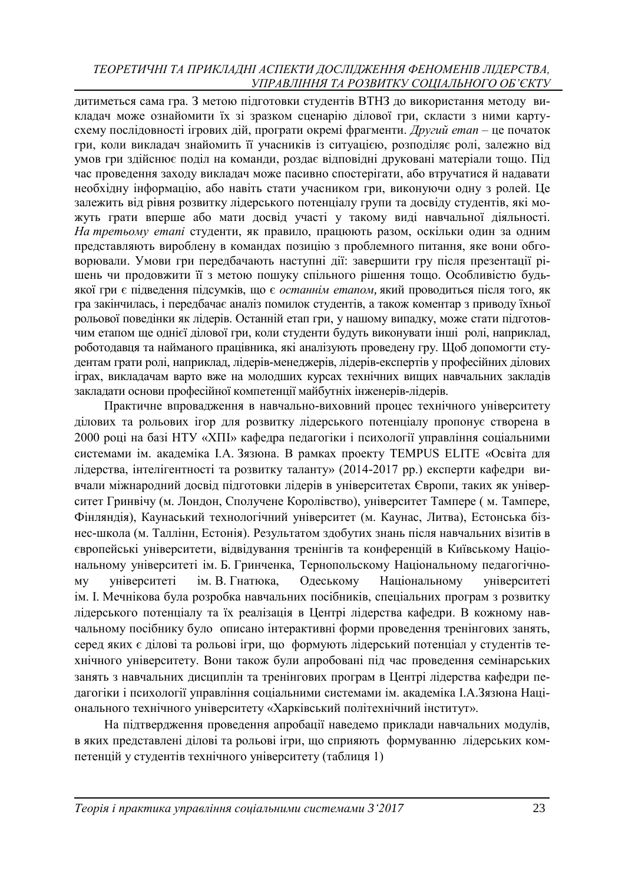дитиметься сама гра. З метою підготовки студентів ВТНЗ до використання методу викладач може ознайомити їх зі зразком сценарію ділової гри, скласти з ними картусхему послідовності ігрових дій, програти окремі фрагменти. *Другий етап* – це початок гри, коли викладач знайомить її учасників із ситуацією, розподіляє ролі, залежно від умов гри здійснює поділ на команди, роздає відповідні друковані матеріали тощо. Під час проведення заходу викладач може пасивно спостерігати, або втручатися й надавати необхідну інформацію, або навіть стати учасником гри, виконуючи одну з ролей. Це залежить від рівня розвитку лідерського потенціалу групи та досвіду студентів, які можуть грати вперше або мати досвід участі у такому виді навчальної діяльності. *На третьому етапі* студенти, як правило, працюють разом, оскільки один за одним представляють вироблену в командах позицію з проблемного питання, яке вони обговорювали. Умови гри передбачають наступні дії: завершити гру після презентації рішень чи продовжити її з метою пошуку спільного рішення тощо. Особливістю будьякої гри є підведення підсумків, що є останнім етапом, який проводиться після того, як гра закінчилась, і передбачає аналіз помилок студентів, а також коментар з приводу їхньої рольової поведінки як лідерів. Останній етап гри, у нашому випадку, може стати підготовчим етапом ще однієї ділової гри, коли студенти будуть виконувати інші ролі, наприклад, роботодавця та найманого працівника, які аналізують проведену гру. Щоб допомогти студентам грати ролі, наприклад, лідерів-менеджерів, лідерів-експертів у професійних ділових іграх, викладачам варто вже на молодших курсах технічних вищих навчальних закладів закладати основи професійної компетенції майбутніх інженерів-лідерів.

Практичне впровадження в навчально-виховний процес технічного університету ділових та рольових ігор для розвитку лідерського потенціалу пропонує створена в 2000 році на базі НТУ «ХПІ» кафедра педагогіки і психології управління соціальними системами ім. академіка І.А. Зязюна. В рамках проекту TEMPUS ELITE «Освіта для лідерства, інтелігентності та розвитку таланту» (2014-2017 рр.) експерти кафедри вивчали міжнародний досвід підготовки лідерів в університетах Європи, таких як університет Гринвічу (м. Лондон, Сполучене Королівство), університет Тампере ( м. Тампере, Фінляндія), Каунаський технологічний університет (м. Каунас, Литва), Естонська бізнес-школа (м. Таллінн, Естонія). Результатом здобутих знань після навчальних візитів в європейські університети, відвідування тренінгів та конференцій в Київському Національному університеті ім. Б. Гринченка, Тернопольскому Національному педагогічному університеті ім. В. Гнатюка, Одеському Національному університеті ім. І. Мечнікова була розробка навчальних посібників, спеціальних програм з розвитку лідерського потенціалу та їх реалізація в Центрі лідерства кафедри. В кожному навчальному посібнику було описано інтерактивні форми проведення тренінгових занять, серед яких є ділові та рольові ігри, що формують лідерський потенціал у студентів технічного університету. Вони також були апробовані під час проведення семінарських занять з навчальних дисциплін та тренінгових програм в Центрі лідерства кафедри педагогіки і психології управління соціальними системами ім. академіка І.А.Зязюна Національного технічного університету «Харківський політехнічний інститут».

На підтвердження проведення апробації наведемо приклади навчальних модулів, в яких представлені ділові та рольові ігри, що сприяють формуванню лідерських компетенцій у студентів технічного університету (таблиця 1)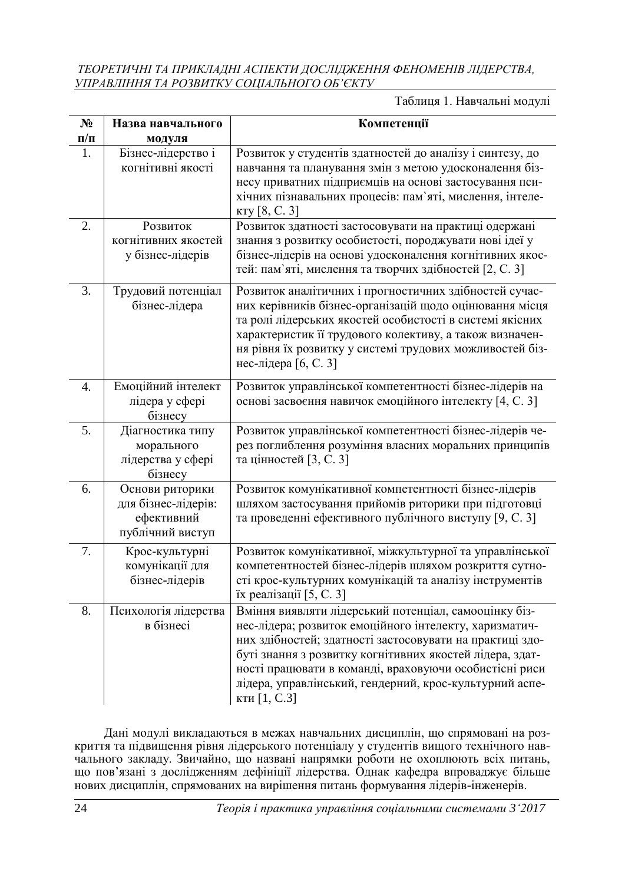Таблиця 1. Навчальні модулі

| $N_2$<br>$\Pi/\Pi$ | Назва навчального<br>модуля                                              | Компетенції                                                                                                                                                                                                                                                                                                                                                                  |
|--------------------|--------------------------------------------------------------------------|------------------------------------------------------------------------------------------------------------------------------------------------------------------------------------------------------------------------------------------------------------------------------------------------------------------------------------------------------------------------------|
| 1.                 | Бізнес-лідерство і<br>когнітивні якості                                  | Розвиток у студентів здатностей до аналізу і синтезу, до<br>навчання та планування змін з метою удосконалення біз-<br>несу приватних підприємців на основі застосування пси-<br>хічних пізнавальних процесів: пам'яті, мислення, інтеле-<br>$KTY$ [8, C. 3]                                                                                                                  |
| 2.                 | Розвиток<br>когнітивних якостей<br>у бізнес-лідерів                      | Розвиток здатності застосовувати на практиці одержані<br>знання з розвитку особистості, породжувати нові ідеї у<br>бізнес-лідерів на основі удосконалення когнітивних якос-<br>тей: пам'яті, мислення та творчих здібностей [2, С. 3]                                                                                                                                        |
| 3.                 | Трудовий потенціал<br>бізнес-лідера                                      | Розвиток аналітичних і прогностичних здібностей сучас-<br>них керівників бізнес-організацій щодо оцінювання місця<br>та ролі лідерських якостей особистості в системі якісних<br>характеристик її трудового колективу, а також визначен-<br>ня рівня їх розвитку у системі трудових можливостей біз-<br>нес-лідера [6, С. 3]                                                 |
| $\overline{4}$ .   | Емоційний інтелект<br>лідера у сфері<br>бізнесу                          | Розвиток управлінської компетентності бізнес-лідерів на<br>основі засвоєння навичок емоційного інтелекту [4, С. 3]                                                                                                                                                                                                                                                           |
| 5.                 | Діагностика типу<br>морального<br>лідерства у сфері<br>бізнесу           | Розвиток управлінської компетентності бізнес-лідерів че-<br>рез поглиблення розуміння власних моральних принципів<br>та цінностей [3, С. 3]                                                                                                                                                                                                                                  |
| 6.                 | Основи риторики<br>для бізнес-лідерів:<br>ефективний<br>публічний виступ | Розвиток комунікативної компетентності бізнес-лідерів<br>шляхом застосування прийомів риторики при підготовці<br>та проведенні ефективного публічного виступу [9, С. 3]                                                                                                                                                                                                      |
| 7.                 | Крос-культурні<br>комунікації для<br>бізнес-лідерів                      | Розвиток комунікативної, міжкультурної та управлінської<br>компетентностей бізнес-лідерів шляхом розкриття сутно-<br>сті крос-культурних комунікацій та аналізу інструментів<br>їх реалізації $[5, C, 3]$                                                                                                                                                                    |
| 8.                 | Психологія лідерства<br>в бізнесі                                        | Вміння виявляти лідерський потенціал, самооцінку біз-<br>нес-лідера; розвиток емоційного інтелекту, харизматич-<br>них здібностей; здатності застосовувати на практиці здо-<br>буті знання з розвитку когнітивних якостей лідера, здат-<br>ності працювати в команді, враховуючи особистісні риси<br>лідера, управлінський, гендерний, крос-культурний аспе-<br>кти [1, С.3] |

Дані модулі викладаються в межах навчальних дисциплін, що спрямовані на розкриття та підвищення рівня лідерського потенціалу у студентів вищого технічного навчального закладу. Звичайно, що названі напрямки роботи не охоплюють всіх питань, що пов'язані з дослідженням дефініції лідерства. Однак кафедра впроваджує більше нових дисциплін, спрямованих на вирішення питань формування лідерів-інженерів.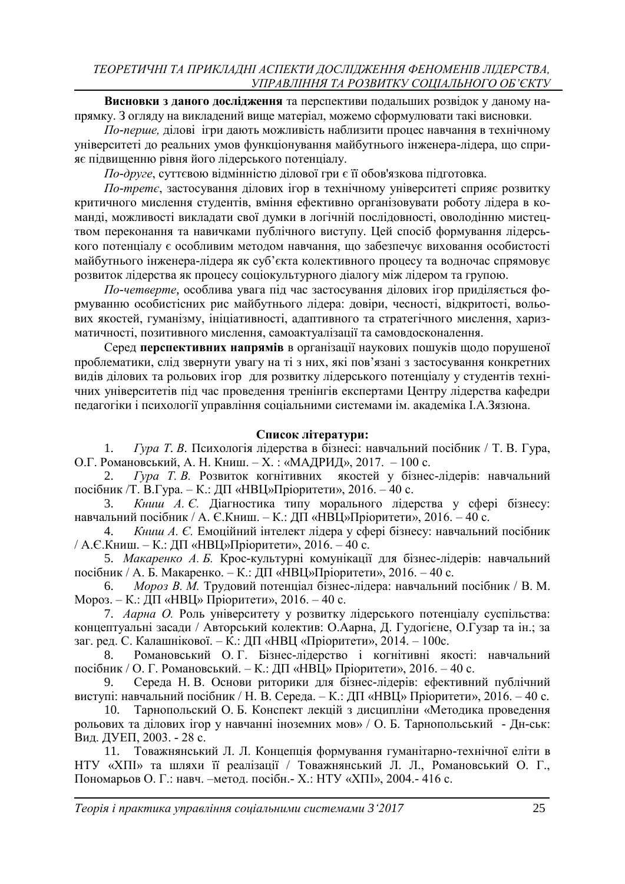**Висновки з даного дослідження** та перспективи подальших розвідок у даному напрямку. З огляду на викладений вище матеріал, можемо сформулювати такі висновки.

*По-перше,* ділові ігри дають можливість наблизити процес навчання в технічному університеті до реальних умов функціонування майбутнього інженера-лідера, що сприяє підвищенню рівня його лідерського потенціалу.

*По-друге*, суттєвою відмінністю ділової гри є її обов'язкова підготовка.

*По-третє*, застосування ділових ігор в технічному університеті сприяє розвитку критичного мислення студентів, вміння ефективно організовувати роботу лідера в команді, можливості викладати свої думки в логічній послідовності, оволодінню мистецтвом переконання та навичками публічного виступу. Цей спосіб формування лідерського потенціалу є особливим методом навчання, що забезпечує виховання особистості майбутнього інженера-лідера як суб'єкта колективного процесу та водночас спрямовує розвиток лідерства як процесу соціокультурного діалогу між лідером та групою.

*По-четверте*, особлива увага під час застосування ділових ігор приділяється формуванню особистісних рис майбутнього лідера: довіри, чесності, відкритості, вольових якостей, гуманізму, ініціативності, адаптивного та стратегічного мислення, харизматичності, позитивного мислення, самоактуалізації та самовдосконалення.

Серед **перспективних напрямів** в організації наукових пошуків щодо порушеної проблематики, слід звернути увагу на ті з них, які пов'язані з застосування конкретних видів ділових та рольових ігор для розвитку лідерського потенціалу у студентів технічних університетів під час проведення тренінгів експертами Центру лідерства кафедри педагогіки і психології управління соціальними системами ім. академіка І.А.Зязюна.

## **Список літератури:**

1. *Гура Т. В.* Психологія лідерства в бізнесі: навчальний посібник / Т. В. Гура, О.Г. Романовський, А. Н. Книш. – Х. : «МАДРИД», 2017. – 100 с.

2. *Гура Т. В.* Розвиток когнітивних якостей у бізнес-лідерів: навчальний посібник /Т. В.Гура. – К.: ДП «НВЦ»Пріоритети», 2016. – 40 с.

3. *Книш А. Є.* Діагностика типу морального лідерства у сфері бізнесу: навчальний посібник / А. Є.Книш. – К.: ДП «НВЦ»Пріоритети», 2016. – 40 с.

4. *Книш А. Є.* Емоційний інтелект лідера у сфері бізнесу: навчальний посібник / А.Є.Книш. – К.: ДП «НВЦ»Пріоритети», 2016. – 40 с.

5. *Макаренко А. Б.* Крос-культурні комунікації для бізнес-лідерів: навчальний посібник / А. Б. Макаренко. – К.: ДП «НВЦ»Пріоритети», 2016. – 40 с.

6. *Мороз В. М.* Трудовий потенціал бізнес-лідера: навчальний посібник / В. М. Мороз. – К.: ДП «НВЦ» Пріоритети», 2016. – 40 с.

7. *Аарна О.* Роль університету у розвитку лідерського потенціалу суспільства: концептуальні засади / Авторський колектив: О.Аарна, Д. Гудогієне, О.Гузар та ін.; за заг. ред. С. Калашнікової. – К.: ДП «НВЦ «Пріоритети», 2014. – 100с.

8. Романовський О. Г. Бізнес-лідерство і когнітивні якості: навчальний посібник / О. Г. Романовський. – К.: ДП «НВЦ» Пріоритети», 2016. – 40 с.

9. Середа Н. В. Основи риторики для бізнес-лідерів: ефективний публічний виступі: навчальний посібник / Н. В. Середа. – К.: ДП «НВЦ» Пріоритети», 2016. – 40 с.

10. Тарнопольский О. Б. Конспект лекцій з дисципліни «Методика проведення рольових та ділових ігор у навчанні іноземних мов» / О. Б. Тарнопольський - Дн-ськ: Вид. ДУЕП, 2003. - 28 с.

11. Товажнянський Л. Л. Концепція формування гуманітарно-технічної еліти в НТУ «ХПІ» та шляхи її реалізації / Товажнянський Л. Л., Романовський О. Г., Пономарьов О. Г.: навч. –метод. посібн.- Х.: НТУ «ХПІ», 2004.- 416 с.